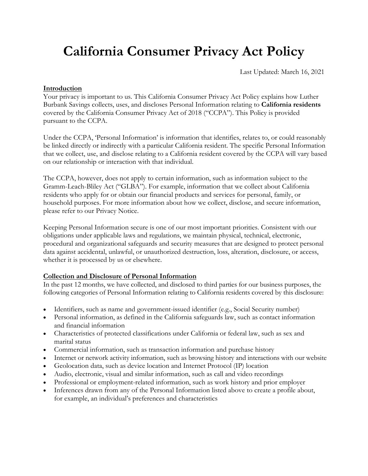# **California Consumer Privacy Act Policy**

Last Updated: March 16, 2021

## **Introduction**

Your privacy is important to us. This [California Consumer Privacy Act Policy e](http://www.lutherburbanksavings.com/ccpa-policy)xplains how Luther Burbank Savings collects, uses, and discloses Personal Information relating to **California residents** covered by the California Consumer Privacy Act of 2018 ("CCPA"). This Policy is provided pursuant to the CCPA.

Under the CCPA, 'Personal Information' is information that identifies, relates to, or could reasonably be linked directly or indirectly with a particular California resident. The specific Personal Information that we collect, use, and disclose relating to a California resident covered by the CCPA will vary based on our relationship or interaction with that individual.

The CCPA, however, does not apply to certain information, such as information subject to the Gramm-Leach-Bliley Act ("GLBA"). For example, information that we collect about California residents who apply for or obtain our financial products and services for personal, family, or household purposes. For more information about how we collect, disclose, and secure information, please refer to our Privacy Notice.

Keeping Personal Information secure is one of our most important priorities. Consistent with our obligations under applicable laws and regulations, we maintain physical, technical, electronic, procedural and organizational safeguards and security measures that are designed to protect personal data against accidental, unlawful, or unauthorized destruction, loss, alteration, disclosure, or access, whether it is processed by us or elsewhere.

## **Collection and Disclosure of Personal Information**

In the past 12 months, we have collected, and disclosed to third parties for our business purposes, the following categories of Personal Information relating to California residents covered by this disclosure:

- Identifiers, such as name and government-issued identifier (e.g., Social Security number)
- Personal information, as defined in the California safeguards law, such as contact information and financial information
- Characteristics of protected classifications under California or federal law, such as sex and marital status
- Commercial information, such as transaction information and purchase history
- Internet or network activity information, such as browsing history and interactions with our website
- Geolocation data, such as device location and Internet Protocol (IP) location
- Audio, electronic, visual and similar information, such as call and video recordings
- Professional or employment-related information, such as work history and prior employer
- Inferences drawn from any of the Personal Information listed above to create a profile about, for example, an individual's preferences and characteristics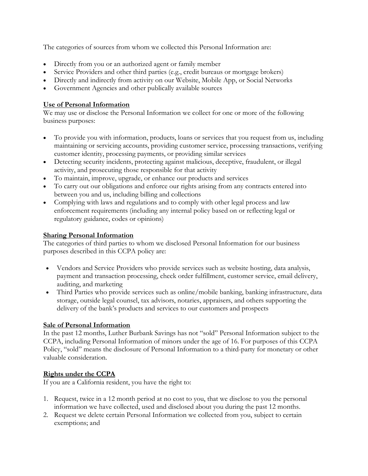The categories of sources from whom we collected this Personal Information are:

- Directly from you or an authorized agent or family member
- Service Providers and other third parties (e.g., credit bureaus or mortgage brokers)
- Directly and indirectly from activity on our Website, Mobile App, or Social Networks
- Government Agencies and other publically available sources

## **Use of Personal Information**

We may use or disclose the Personal Information we collect for one or more of the following business purposes:

- To provide you with information, products, loans or services that you request from us, including maintaining or servicing accounts, providing customer service, processing transactions, verifying customer identity, processing payments, or providing similar services
- Detecting security incidents, protecting against malicious, deceptive, fraudulent, or illegal activity, and prosecuting those responsible for that activity
- To maintain, improve, upgrade, or enhance our products and services
- To carry out our obligations and enforce our rights arising from any contracts entered into between you and us, including billing and collections
- Complying with laws and regulations and to comply with other legal process and law enforcement requirements (including any internal policy based on or reflecting legal or regulatory guidance, codes or opinions)

## **Sharing Personal Information**

The categories of third parties to whom we disclosed Personal Information for our business purposes described in this CCPA policy are:

- Vendors and Service Providers who provide services such as website hosting, data analysis, payment and transaction processing, check order fulfillment, customer service, email delivery, auditing, and marketing
- Third Parties who provide services such as online/mobile banking, banking infrastructure, data storage, outside legal counsel, tax advisors, notaries, appraisers, and others supporting the delivery of the bank's products and services to our customers and prospects

## **Sale of Personal Information**

In the past 12 months, Luther Burbank Savings has not "sold" Personal Information subject to the CCPA, including Personal Information of minors under the age of 16. For purposes of this CCPA Policy, "sold" means the disclosure of Personal Information to a third-party for monetary or other valuable consideration.

## **Rights under the CCPA**

If you are a California resident, you have the right to:

- 1. Request, twice in a 12 month period at no cost to you, that we disclose to you the personal information we have collected, used and disclosed about you during the past 12 months.
- 2. Request we delete certain Personal Information we collected from you, subject to certain exemptions; and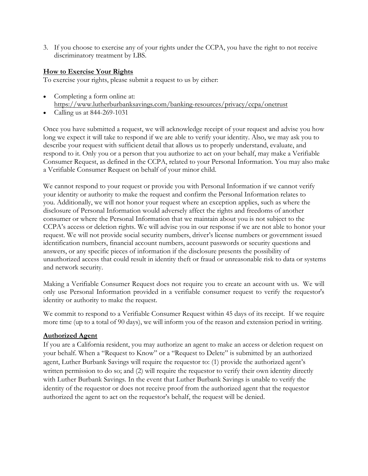3. If you choose to exercise any of your rights under the CCPA, you have the right to not receive discriminatory treatment by LBS.

## **How to Exercise Your Rights**

To exercise your rights, please submit a request to us by either:

- Completing a form online at: <https://www.lutherburbanksavings.com/banking-resources/privacy/ccpa/onetrust>
- Calling us at 844-269-1031

Once you have submitted a request, we will acknowledge receipt of your request and advise you how long we expect it will take to respond if we are able to verify your identity. Also, we may ask you to describe your request with sufficient detail that allows us to properly understand, evaluate, and respond to it. Only you or a person that you authorize to act on your behalf, may make a Verifiable Consumer Request, as defined in the CCPA, related to your Personal Information. You may also make a Verifiable Consumer Request on behalf of your minor child.

We cannot respond to your request or provide you with Personal Information if we cannot verify your identity or authority to make the request and confirm the Personal Information relates to you. Additionally, we will not honor your request where an exception applies, such as where the disclosure of Personal Information would adversely affect the rights and freedoms of another consumer or where the Personal Information that we maintain about you is not subject to the CCPA's access or deletion rights. We will advise you in our response if we are not able to honor your request. We will not provide social security numbers, driver's license numbers or government issued identification numbers, financial account numbers, account passwords or security questions and answers, or any specific pieces of information if the disclosure presents the possibility of unauthorized access that could result in identity theft or fraud or unreasonable risk to data or systems and network security.

Making a Verifiable Consumer Request does not require you to create an account with us. We will only use Personal Information provided in a verifiable consumer request to verify the requestor's identity or authority to make the request.

We commit to respond to a Verifiable Consumer Request within 45 days of its receipt. If we require more time (up to a total of 90 days), we will inform you of the reason and extension period in writing.

## **Authorized Agent**

If you are a California resident, you may authorize an agent to make an access or deletion request on your behalf. When a "Request to Know" or a "Request to Delete" is submitted by an authorized agent, Luther Burbank Savings will require the requestor to: (1) provide the authorized agent's written permission to do so; and (2) will require the requestor to verify their own identity directly with Luther Burbank Savings. In the event that Luther Burbank Savings is unable to verify the identity of the requestor or does not receive proof from the authorized agent that the requestor authorized the agent to act on the requestor's behalf, the request will be denied.